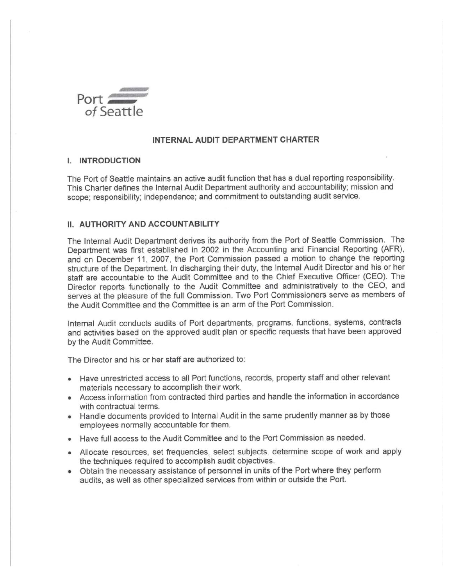

### **INTERNAL AUDIT DEPARTMENT CHARTER**

#### **I. INTRODUCTION**

The Port of Seattle maintains an active audit function that has a dual reporting responsibility. This Charter defines the Internal Audit Department authority and accountability; mission and scope; responsibility; independence; and commitment to outstanding audit service.

# **II. AUTHORITY AND ACCOUNTABILITY**

The Internal Audit Department derives its authority from the Port of Seattle Commission. The Department was first established in 2002 in the Accounting and Financial Reporting (AFR), and on December 11, 2007, the Port Commission passed a motion to change the reporting structure of the Department. In discharging their duty, the Internal Audit Director and his or her staff are accountable to the Audit Committee and to the Chief Executive Officer (CEO). The Director reports functionally to the Audit Committee and administratively to the CEO, and serves at the pleasure of the full Commission. Two Port Commissioners serve as members of the Audit Committee and the Committee is an arm of the Port Commission.

Internal Audit conducts audits of Port departments, programs, functions, systems, contracts and activities based on the approved audit plan or specific requests that have been approved by the Audit Committee.

The Director and his or her staff are authorized to:

- Have unrestricted access to all Port functions, records, property staff and other relevant materials necessary to accomplish their work.
- Access information from contracted third parties and handle the information in accordance with contractual terms.
- Handle documents provided to Internal Audit in the same prudently manner as by those employees normally accountable for them.
- Have full access to the Audit Committee and to the Port Commission as needed.
- Allocate resources, set frequencies, select subjects, determine scope of work and apply the techniques required to accomplish audit objectives.
- Obtain the necessary assistance of personnel in units of the Port where they perform audits, as well as other specialized services from within or outside the Port.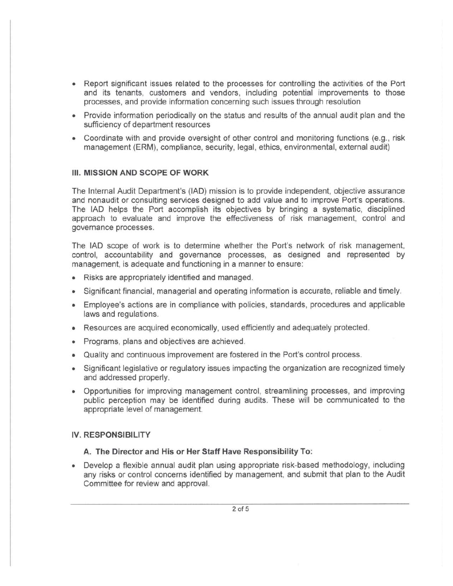- Report significant issues related to the processes for controlling the activities of the Port and its tenants, customers and vendors, including potential improvements to those processes, and provide information concerning such issues through resolution
- Provide information periodically on the status and results of the annual audit plan and the sufficiency of department resources
- Coordinate with and provide oversight of other control and monitoring functions (e.g., risk management (ERM), compliance, security, legal, ethics, environmental, external audit)

#### III. MISSION AND SCOPE OF WORK

The Internal Audit Department's (lAD) mission is to provide independent, objective assurance and nonaudit or consulting services designed to add value and to improve Port's operations. The lAD helps the Port accomplish its objectives by bringing a systematic, disciplined approach to evaluate and improve the effectiveness of risk management, control and governance processes.

The lAD scope of work is to determine whether the Port's network of risk management, control, accountability and governance processes, as designed and represented by management, is adequate and functioning in a manner to ensure:

- Risks are appropriately identified and managed.
- Significant financial, managerial and operating information is accurate, reliable and timely.
- Employee's actions are in compliance with policies, standards, procedures and applicable laws and regulations.
- Resources are acquired economically, used efficiently and adequately protected.
- Programs, plans and objectives are achieved.
- Quality and continuous improvement are fostered in the Port's control process.
- Significant legislative or regulatory issues impacting the organization are recognized timely and addressed properly.
- Opportunities for improving management control, streamlining processes, and improving public perception may be identified during audits. These will be communicated to the appropriate level of management.

#### IV. RESPONSIBILITY

#### A. The Director and His or Her Staff Have Responsibility To:

• Develop a flexible annual audit plan using appropriate risk-based methodology, including any risks or control concerns identified by management, and submit that plan to the Audit Committee for review and approval.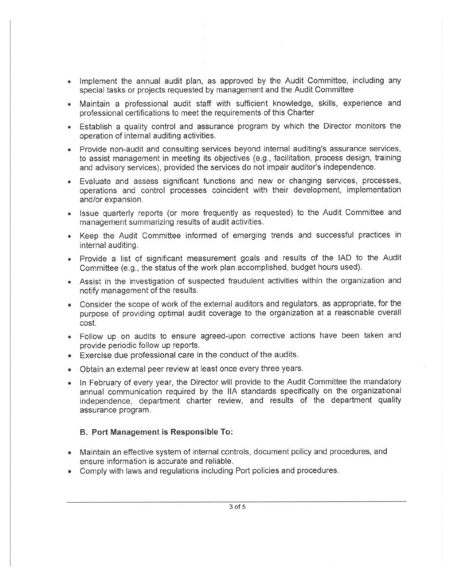- Implement the annual audit plan, as approved by the Audit Committee, including any special tasks or projects requested by management and the Audit Committee
- Maintain a professional audit staff with sufficient knowledge, skills, experience and professional certifications to meet the requirements of this Charter
- Establish a quality control and assurance program by which the Director monitors the operation of internal auditing activities.
- Provide non-audit and consulting services beyond internal audltinq's assurance services, to assist management in meeting its objectives (e.g., facilitation, process design, training and advisory services), provided the services do not impair auditor's independence.
- Evaluate and assess significant functions and new or changing services, processes, operations and control processes coincident with their development, implementation and/or expansion.
- Issue quarterly reports (or more frequently as requested) to the Audit Committee and management summarizing results of audit activities.
- Keep the Audit Committee informed of emerging trends and successful practices in internal auditing.
- Provide a list of significant measurement goals and results of the lAD to the Audit Committee (e.g., the status of the work plan accomplished, budget hours used).
- Assist in the investigation of suspected fraudulent activities within the organization and notify management of the results.
- Consider the scope of work of the external auditors and regulators, as appropriate, for the purpose of providing optimal audit coverage to the organization at a reasonable overall cost.
- Follow up on audits to ensure agreed-upon corrective actions have been taken and provide periodic follow up reports.
- Exercise due professional care in the conduct of the audits.
- Obtain an external peer review at least once every three years.
- In February of every year, the Director will provide to the Audit Committee the mandatory annual communication required by the IIA standards specifically on the organizational independence, department charter review, and results of the department quality assurance program.

#### B. Port Management is Responsible To:

- Maintain an effective system of internal controls, document policy and procedures, and ensure information is accurate and reliable.
- Comply with laws and regulations including Port policies and procedures.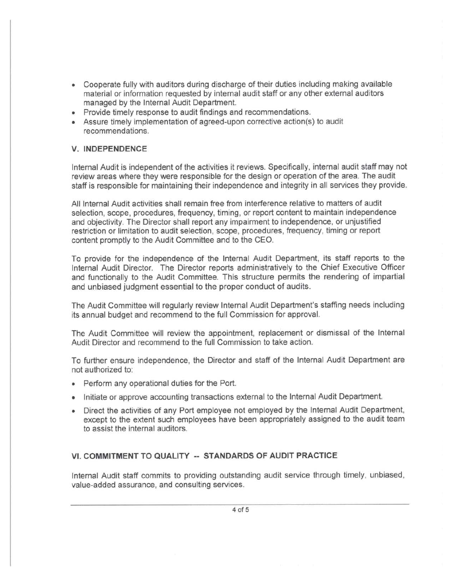- Cooperate fully with auditors during discharge of their duties including making available material or information requested by internal audit staff or any other external auditors managed by the Internal Audit Department.
- Provide timely response to audit findings and recommendations.
- Assure timely implementation of agreed-upon corrective action(s) to audit recommendations.

### V. **INDEPENDENCE**

Internal Audit is independent of the activities it reviews. Specifically, internal audit staff may not review areas where they were responsible for the design or operation of the area. The audit staff is responsible for maintaining their independence and integrity in all services they provide.

All Internal Audit activities shall remain free from interference relative to matters of audit selection, scope, procedures, frequency, timing, or report content to maintain independence and objectivity. The Director shall report any impairment to independence, or unjustified restriction or limitation to audit selection, scope, procedures, frequency, timing or report content promptly to the Audit Committee and to the CEO.

To provide for the independence of the Internal Audit Department, its staff reports to the Internal Audit Director. The Director reports administratively to the Chief Executive Officer and functionally to the Audit Committee. This structure permits the rendering of impartial and unbiased judgment essential to the proper conduct of audits.

The Audit Committee will regularly review Internal Audit Department's staffing needs including its annual budget and recommend to the full Commission for approval.

The Audit Committee will review the appointment, replacement or dismissal of the Internal Audit Director and recommend to the full Commission to take action.

To further ensure independence, the Director and staff of the Internal Audit Department are not authorized to:

- Perform any operational duties for the Port.
- Initiate or approve accounting transactions external to the Internal Audit Department.
- Direct the activities of any Port employee not employed by the Internal Audit Department, except to the extent such employees have been appropriately assigned to the audit team to assist the internal auditors.

## **VI. COMMITMENT TO QUALITY -- STANDARDS OF AUDIT PRACTICE**

Internal Audit staff commits to providing outstanding audit service through timely, unbiased, value-added assurance, and consulting services.